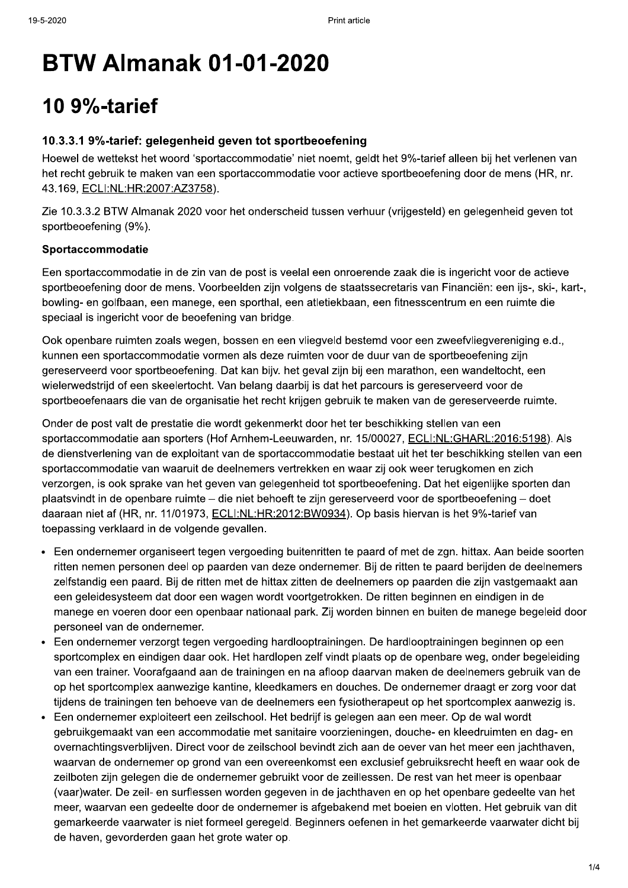# **BTW Almanak 01-01-2020**

# **10 9%-tarief**

## 10.3.3.1 9%-tarief: gelegenheid geven tot sportbeoefening

Hoewel de wettekst het woord 'sportaccommodatie' niet noemt, geldt het 9%-tarief alleen bij het verlenen van het recht gebruik te maken van een sportaccommodatie voor actieve sportbeoefening door de mens (HR, nr. 43.169, ECLI:NL:HR:2007:AZ3758).

Zie 10.3.3.2 BTW Almanak 2020 voor het onderscheid tussen verhuur (vrijgesteld) en gelegenheid geven tot sportbeoefening (9%).

## Sportaccommodatie

Een sportaccommodatie in de zin van de post is veelal een onroerende zaak die is ingericht voor de actieve sportbeoefening door de mens. Voorbeelden zijn volgens de staatssecretaris van Financiën: een ijs-, ski-, kart-, bowling- en golfbaan, een manege, een sporthal, een atletiekbaan, een fitnesscentrum en een ruimte die speciaal is ingericht voor de beoefening van bridge.

Ook openbare ruimten zoals wegen, bossen en een vliegveld bestemd voor een zweefvliegvereniging e.d., kunnen een sportaccommodatie vormen als deze ruimten voor de duur van de sportbeoefening zijn gereserveerd voor sportbeoefening. Dat kan bijv. het geval zijn bij een marathon, een wandeltocht, een wielerwedstrijd of een skeelertocht. Van belang daarbij is dat het parcours is gereserveerd voor de sportbeoefenaars die van de organisatie het recht krijgen gebruik te maken van de gereserveerde ruimte.

Onder de post valt de prestatie die wordt gekenmerkt door het ter beschikking stellen van een sportaccommodatie aan sporters (Hof Arnhem-Leeuwarden, nr. 15/00027, ECLI:NL:GHARL:2016:5198). Als de dienstverlening van de exploitant van de sportaccommodatie bestaat uit het ter beschikking stellen van een sportaccommodatie van waaruit de deelnemers vertrekken en waar zij ook weer terugkomen en zich verzorgen, is ook sprake van het geven van gelegenheid tot sportbeoefening. Dat het eigenlijke sporten dan plaatsvindt in de openbare ruimte – die niet behoeft te zijn gereserveerd voor de sportbeoefening – doet daaraan niet af (HR, nr. 11/01973, ECLI:NL:HR:2012:BW0934). Op basis hiervan is het 9%-tarief van toepassing verklaard in de volgende gevallen.

- Een ondernemer organiseert tegen vergoeding buitenritten te paard of met de zgn. hittax. Aan beide soorten ritten nemen personen deel op paarden van deze ondernemer. Bij de ritten te paard berijden de deelnemers zelfstandig een paard. Bij de ritten met de hittax zitten de deelnemers op paarden die zijn vastgemaakt aan een geleidesysteem dat door een wagen wordt voortgetrokken. De ritten beginnen en eindigen in de manege en voeren door een openbaar nationaal park. Zij worden binnen en buiten de manege begeleid door personeel van de ondernemer.
- Een ondernemer verzorgt tegen vergoeding hardlooptrainingen. De hardlooptrainingen beginnen op een sportcomplex en eindigen daar ook. Het hardlopen zelf vindt plaats op de openbare weg, onder begeleiding van een trainer. Voorafgaand aan de trainingen en na afloop daarvan maken de deelnemers gebruik van de op het sportcomplex aanwezige kantine, kleedkamers en douches. De ondernemer draagt er zorg voor dat tijdens de trainingen ten behoeve van de deelnemers een fysiotherapeut op het sportcomplex aanwezig is.
- Een ondernemer exploiteert een zeilschool. Het bedrijf is gelegen aan een meer. Op de wal wordt gebruikgemaakt van een accommodatie met sanitaire voorzieningen, douche- en kleedruimten en dag- en overnachtingsverblijven. Direct voor de zeilschool bevindt zich aan de oever van het meer een jachthaven, waarvan de ondernemer op grond van een overeenkomst een exclusief gebruiksrecht heeft en waar ook de zeilboten zijn gelegen die de ondernemer gebruikt voor de zeillessen. De rest van het meer is openbaar (vaar)water. De zeil- en surflessen worden gegeven in de jachthaven en op het openbare gedeelte van het meer, waarvan een gedeelte door de ondernemer is afgebakend met boeien en vlotten. Het gebruik van dit gemarkeerde vaarwater is niet formeel geregeld. Beginners oefenen in het gemarkeerde vaarwater dicht bij de haven, gevorderden gaan het grote water op.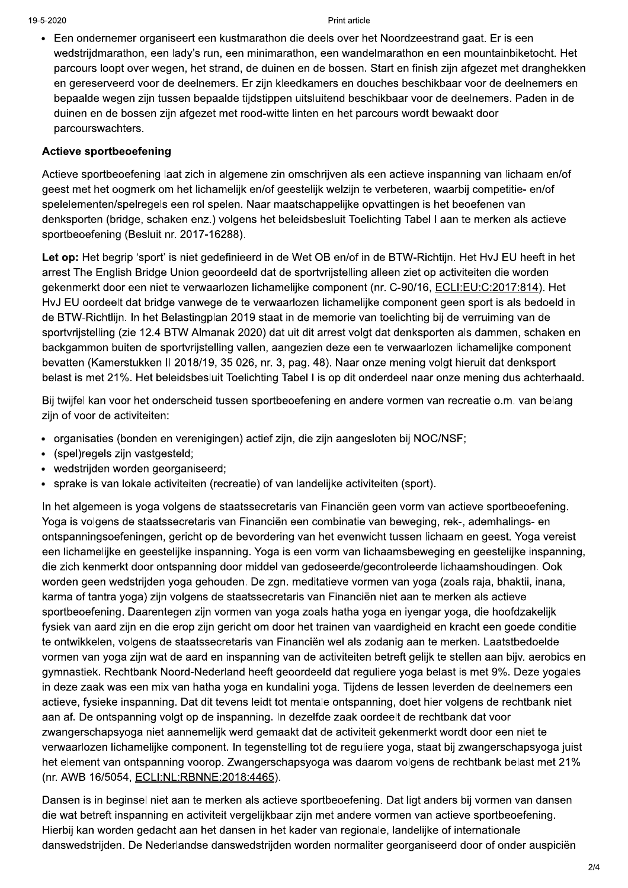Een ondernemer organiseert een kustmarathon die deels over het Noordzeestrand gaat. Er is een wedstrijdmarathon, een lady's run, een minimarathon, een wandelmarathon en een mountainbiketocht. Het parcours loopt over wegen, het strand, de duinen en de bossen. Start en finish zijn afgezet met dranghekken en gereserveerd voor de deelnemers. Er zijn kleedkamers en douches beschikbaar voor de deelnemers en bepaalde wegen zijn tussen bepaalde tijdstippen uitsluitend beschikbaar voor de deelnemers. Paden in de duinen en de bossen zijn afgezet met rood-witte linten en het parcours wordt bewaakt door parcourswachters.

### **Actieve sportbeoefening**

Actieve sportbeoefening laat zich in algemene zin omschrijven als een actieve inspanning van lichaam en/of geest met het oogmerk om het lichamelijk en/of geestelijk welzijn te verbeteren, waarbij competitie- en/of spelelementen/spelregels een rol spelen. Naar maatschappelijke opvattingen is het beoefenen van denksporten (bridge, schaken enz.) volgens het beleidsbesluit Toelichting Tabel I aan te merken als actieve sportbeoefening (Besluit nr. 2017-16288).

Let op: Het begrip 'sport' is niet gedefinieerd in de Wet OB en/of in de BTW-Richtijn. Het HyJ EU heeft in het arrest The English Bridge Union geoordeeld dat de sportvrijstelling alleen ziet op activiteiten die worden gekenmerkt door een niet te verwaarlozen lichamelijke component (nr. C-90/16, ECLI:EU:C:2017:814). Het HvJ EU oordeelt dat bridge vanwege de te verwaarlozen lichamelijke component geen sport is als bedoeld in de BTW-Richtlijn. In het Belastingplan 2019 staat in de memorie van toelichting bij de verruiming van de sportvrijstelling (zie 12.4 BTW Almanak 2020) dat uit dit arrest volgt dat denksporten als dammen, schaken en backgammon buiten de sportvrijstelling vallen, aangezien deze een te verwaarlozen lichamelijke component bevatten (Kamerstukken II 2018/19, 35 026, nr. 3, pag. 48). Naar onze mening volgt hieruit dat denksport belast is met 21%. Het beleidsbesluit Toelichting Tabel I is op dit onderdeel naar onze mening dus achterhaald.

Bij twijfel kan voor het onderscheid tussen sportbeoefening en andere vormen van recreatie o.m. van belang zijn of voor de activiteiten:

- organisaties (bonden en verenigingen) actief zijn, die zijn aangesloten bij NOC/NSF;
- · (spel)regels zijn vastgesteld;
- · wedstrijden worden georganiseerd;
- sprake is van lokale activiteiten (recreatie) of van landelijke activiteiten (sport).

In het algemeen is voga volgens de staatssecretaris van Financiën geen vorm van actieve sportbeoefening. Yoga is volgens de staatssecretaris van Financiën een combinatie van beweging, rek-, ademhalings- en ontspanningsoefeningen, gericht op de bevordering van het evenwicht tussen lichaam en geest. Yoga vereist een lichamelijke en geestelijke inspanning. Yoga is een vorm van lichaamsbeweging en geestelijke inspanning, die zich kenmerkt door ontspanning door middel van gedoseerde/gecontroleerde lichaamshoudingen. Ook worden geen wedstrijden yoga gehouden. De zgn. meditatieve vormen van yoga (zoals raja, bhaktii, inana, karma of tantra voga) zijn volgens de staatssecretaris van Financiën niet aan te merken als actieve sportbeoefening. Daarentegen zijn vormen van yoga zoals hatha yoga en iyengar yoga, die hoofdzakelijk fysiek van aard zijn en die erop zijn gericht om door het trainen van vaardigheid en kracht een goede conditie te ontwikkelen, volgens de staatssecretaris van Financiën wel als zodanig aan te merken. Laatstbedoelde vormen van voga zijn wat de aard en inspanning van de activiteiten betreft gelijk te stellen aan bijv, aerobics en gymnastiek. Rechtbank Noord-Nederland heeft geoordeeld dat reguliere yoga belast is met 9%. Deze yogales in deze zaak was een mix van hatha yoga en kundalini yoga. Tijdens de lessen leverden de deelnemers een actieve, fysieke inspanning. Dat dit tevens leidt tot mentale ontspanning, doet hier volgens de rechtbank niet aan af. De ontspanning volgt op de inspanning. In dezelfde zaak oordeelt de rechtbank dat voor zwangerschapsyoga niet aannemelijk werd gemaakt dat de activiteit gekenmerkt wordt door een niet te verwaarlozen lichamelijke component. In tegenstelling tot de reguliere yoga, staat bij zwangerschapsyoga juist het element van ontspanning voorop. Zwangerschapsyoga was daarom volgens de rechtbank belast met 21% (nr. AWB 16/5054, ECLI:NL:RBNNE:2018:4465).

Dansen is in beginsel niet aan te merken als actieve sportbeoefening. Dat ligt anders bij vormen van dansen die wat betreft inspanning en activiteit vergelijkbaar zijn met andere vormen van actieve sportbeoefening. Hierbij kan worden gedacht aan het dansen in het kader van regionale, landelijke of internationale danswedstrijden. De Nederlandse danswedstrijden worden normaliter georganiseerd door of onder auspiciën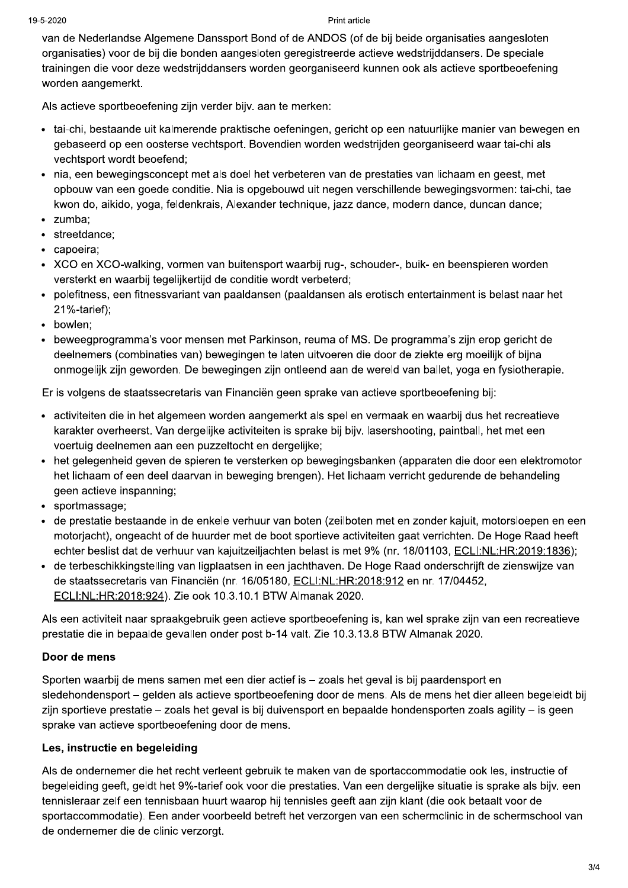#### Print article

van de Nederlandse Algemene Danssport Bond of de ANDOS (of de bij beide organisaties aangesloten organisaties) voor de bij die bonden aangesloten geregistreerde actieve wedstrijddansers. De speciale trainingen die voor deze wedstrijddansers worden georganiseerd kunnen ook als actieve sportbeoefening worden aangemerkt.

Als actieve sportbeoefening zijn verder bijv. aan te merken:

- tai-chi, bestaande uit kalmerende praktische oefeningen, gericht op een natuurlijke manier van bewegen en gebaseerd op een oosterse vechtsport. Bovendien worden wedstrijden georganiseerd waar tai-chi als vechtsport wordt beoefend;
- nia, een bewegingsconcept met als doel het verbeteren van de prestaties van lichaam en geest, met opbouw van een goede conditie. Nia is opgebouwd uit negen verschillende bewegingsvormen: tai-chi, tae kwon do, aikido, yoga, feldenkrais, Alexander technique, jazz dance, modern dance, duncan dance;
- · zumba:
- · streetdance;
- · capoeira:
- XCO en XCO-walking, vormen van buitensport waarbij rug-, schouder-, buik- en beenspieren worden versterkt en waarbij tegelijkertijd de conditie wordt verbeterd;
- polefitness, een fitnessvariant van paaldansen (paaldansen als erotisch entertainment is belast naar het  $21%$ -tarief);
- bowlen:
- beweegprogramma's voor mensen met Parkinson, reuma of MS. De programma's zijn erop gericht de deelnemers (combinaties van) bewegingen te laten uitvoeren die door de ziekte erg moeilijk of bijna onmogelijk zijn geworden. De bewegingen zijn ontleend aan de wereld van ballet, yoga en fysiotherapie.

Er is volgens de staatssecretaris van Financiën geen sprake van actieve sportbeoefening bij:

- · activiteiten die in het algemeen worden aangemerkt als spel en vermaak en waarbij dus het recreatieve karakter overheerst. Van dergelijke activiteiten is sprake bij bijv. lasershooting, paintball, het met een voertuig deelnemen aan een puzzeltocht en dergelijke;
- het gelegenheid geven de spieren te versterken op bewegingsbanken (apparaten die door een elektromotor het lichaam of een deel daarvan in beweging brengen). Het lichaam verricht gedurende de behandeling geen actieve inspanning;
- sportmassage;
- · de prestatie bestaande in de enkele verhuur van boten (zeilboten met en zonder kajuit, motorsloepen en een motorjacht), ongeacht of de huurder met de boot sportieve activiteiten gaat verrichten. De Hoge Raad heeft echter beslist dat de verhuur van kajuitzeiljachten belast is met 9% (nr. 18/01103, ECLI:NL:HR:2019:1836);
- · de terbeschikkingstelling van ligplaatsen in een jachthaven. De Hoge Raad onderschrijft de zienswijze van de staatssecretaris van Financiën (nr. 16/05180, ECLI:NL:HR:2018:912 en nr. 17/04452, ECLI:NL:HR:2018:924). Zie ook 10.3.10.1 BTW Almanak 2020.

Als een activiteit naar spraakgebruik geen actieve sportbeoefening is, kan wel sprake zijn van een recreatieve prestatie die in bepaalde gevallen onder post b-14 valt. Zie 10.3.13.8 BTW Almanak 2020.

## Door de mens

Sporten waarbij de mens samen met een dier actief is - zoals het geval is bij paardensport en sledehondensport – gelden als actieve sportbeoefening door de mens. Als de mens het dier alleen begeleidt bij zijn sportieve prestatie – zoals het geval is bij duivensport en bepaalde hondensporten zoals agility – is geen sprake van actieve sportbeoefening door de mens.

## Les, instructie en begeleiding

Als de ondernemer die het recht verleent gebruik te maken van de sportaccommodatie ook les, instructie of begeleiding geeft, geldt het 9%-tarief ook voor die prestaties. Van een dergelijke situatie is sprake als bijv. een tennisleraar zelf een tennisbaan huurt waarop hij tennisles geeft aan zijn klant (die ook betaalt voor de sportaccommodatie). Een ander voorbeeld betreft het verzorgen van een schermclinic in de schermschool van de ondernemer die de clinic verzorgt.